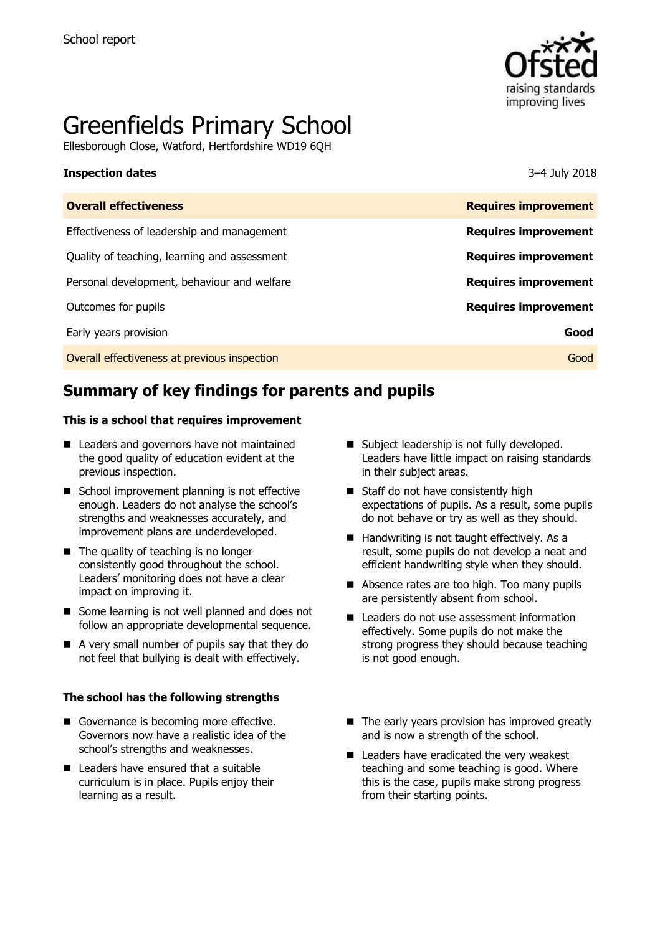

# Greenfields Primary School

Ellesborough Close, Watford, Hertfordshire WD19 6QH

#### **Inspection dates** 3–4 July 2018

| <b>Overall effectiveness</b>                 | <b>Requires improvement</b> |
|----------------------------------------------|-----------------------------|
| Effectiveness of leadership and management   | <b>Requires improvement</b> |
| Quality of teaching, learning and assessment | <b>Requires improvement</b> |
| Personal development, behaviour and welfare  | <b>Requires improvement</b> |
| Outcomes for pupils                          | <b>Requires improvement</b> |
| Early years provision                        | Good                        |
| Overall effectiveness at previous inspection | Good                        |
|                                              |                             |

# **Summary of key findings for parents and pupils**

#### **This is a school that requires improvement**

- Leaders and governors have not maintained the good quality of education evident at the previous inspection.
- School improvement planning is not effective enough. Leaders do not analyse the school's strengths and weaknesses accurately, and improvement plans are underdeveloped.
- $\blacksquare$  The quality of teaching is no longer consistently good throughout the school. Leaders' monitoring does not have a clear impact on improving it.
- Some learning is not well planned and does not follow an appropriate developmental sequence.
- A very small number of pupils say that they do not feel that bullying is dealt with effectively.

#### **The school has the following strengths**

- Governance is becoming more effective. Governors now have a realistic idea of the school's strengths and weaknesses.
- Leaders have ensured that a suitable curriculum is in place. Pupils enjoy their learning as a result.
- Subject leadership is not fully developed. Leaders have little impact on raising standards in their subject areas.
- Staff do not have consistently high expectations of pupils. As a result, some pupils do not behave or try as well as they should.
- $\blacksquare$  Handwriting is not taught effectively. As a result, some pupils do not develop a neat and efficient handwriting style when they should.
- Absence rates are too high. Too many pupils are persistently absent from school.
- Leaders do not use assessment information effectively. Some pupils do not make the strong progress they should because teaching is not good enough.
- $\blacksquare$  The early years provision has improved greatly and is now a strength of the school.
- Leaders have eradicated the very weakest teaching and some teaching is good. Where this is the case, pupils make strong progress from their starting points.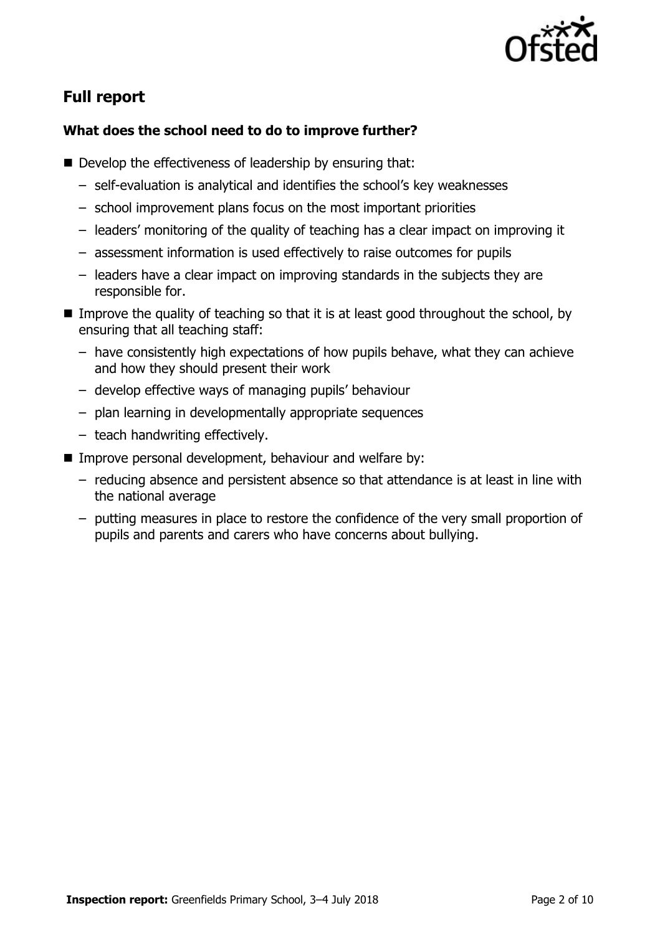

# **Full report**

### **What does the school need to do to improve further?**

- Develop the effectiveness of leadership by ensuring that:
	- self-evaluation is analytical and identifies the school's key weaknesses
	- school improvement plans focus on the most important priorities
	- leaders' monitoring of the quality of teaching has a clear impact on improving it
	- assessment information is used effectively to raise outcomes for pupils
	- leaders have a clear impact on improving standards in the subjects they are responsible for.
- Improve the quality of teaching so that it is at least good throughout the school, by ensuring that all teaching staff:
	- have consistently high expectations of how pupils behave, what they can achieve and how they should present their work
	- develop effective ways of managing pupils' behaviour
	- plan learning in developmentally appropriate sequences
	- teach handwriting effectively.
- Improve personal development, behaviour and welfare by:
	- reducing absence and persistent absence so that attendance is at least in line with the national average
	- putting measures in place to restore the confidence of the very small proportion of pupils and parents and carers who have concerns about bullying.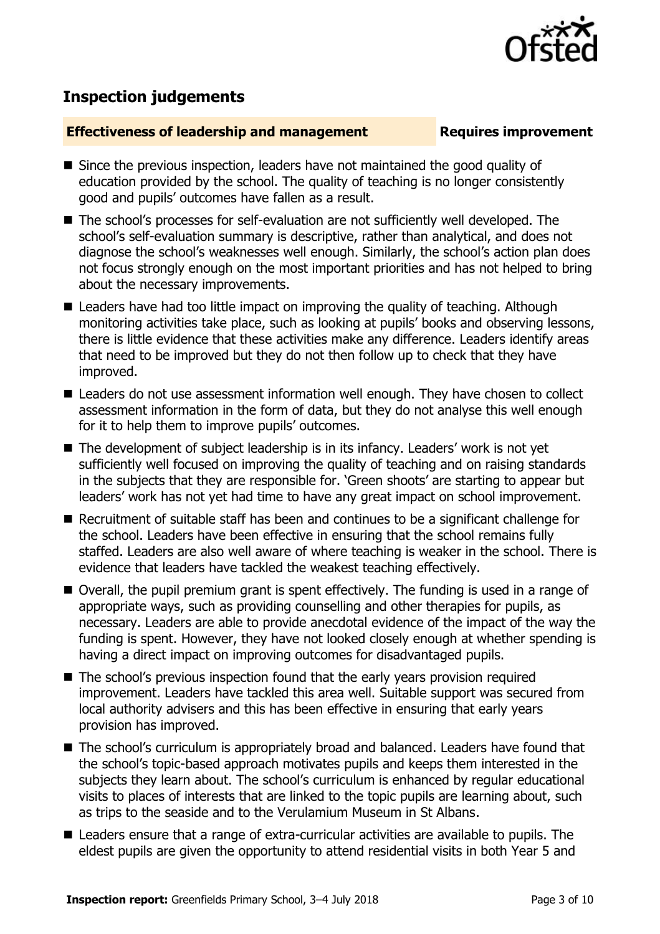

# **Inspection judgements**

#### **Effectiveness of leadership and management Requires improvement**

- Since the previous inspection, leaders have not maintained the good quality of education provided by the school. The quality of teaching is no longer consistently good and pupils' outcomes have fallen as a result.
- The school's processes for self-evaluation are not sufficiently well developed. The school's self-evaluation summary is descriptive, rather than analytical, and does not diagnose the school's weaknesses well enough. Similarly, the school's action plan does not focus strongly enough on the most important priorities and has not helped to bring about the necessary improvements.
- Leaders have had too little impact on improving the quality of teaching. Although monitoring activities take place, such as looking at pupils' books and observing lessons, there is little evidence that these activities make any difference. Leaders identify areas that need to be improved but they do not then follow up to check that they have improved.
- Leaders do not use assessment information well enough. They have chosen to collect assessment information in the form of data, but they do not analyse this well enough for it to help them to improve pupils' outcomes.
- The development of subject leadership is in its infancy. Leaders' work is not yet sufficiently well focused on improving the quality of teaching and on raising standards in the subjects that they are responsible for. 'Green shoots' are starting to appear but leaders' work has not yet had time to have any great impact on school improvement.
- Recruitment of suitable staff has been and continues to be a significant challenge for the school. Leaders have been effective in ensuring that the school remains fully staffed. Leaders are also well aware of where teaching is weaker in the school. There is evidence that leaders have tackled the weakest teaching effectively.
- Overall, the pupil premium grant is spent effectively. The funding is used in a range of appropriate ways, such as providing counselling and other therapies for pupils, as necessary. Leaders are able to provide anecdotal evidence of the impact of the way the funding is spent. However, they have not looked closely enough at whether spending is having a direct impact on improving outcomes for disadvantaged pupils.
- The school's previous inspection found that the early years provision required improvement. Leaders have tackled this area well. Suitable support was secured from local authority advisers and this has been effective in ensuring that early years provision has improved.
- The school's curriculum is appropriately broad and balanced. Leaders have found that the school's topic-based approach motivates pupils and keeps them interested in the subjects they learn about. The school's curriculum is enhanced by regular educational visits to places of interests that are linked to the topic pupils are learning about, such as trips to the seaside and to the Verulamium Museum in St Albans.
- Leaders ensure that a range of extra-curricular activities are available to pupils. The eldest pupils are given the opportunity to attend residential visits in both Year 5 and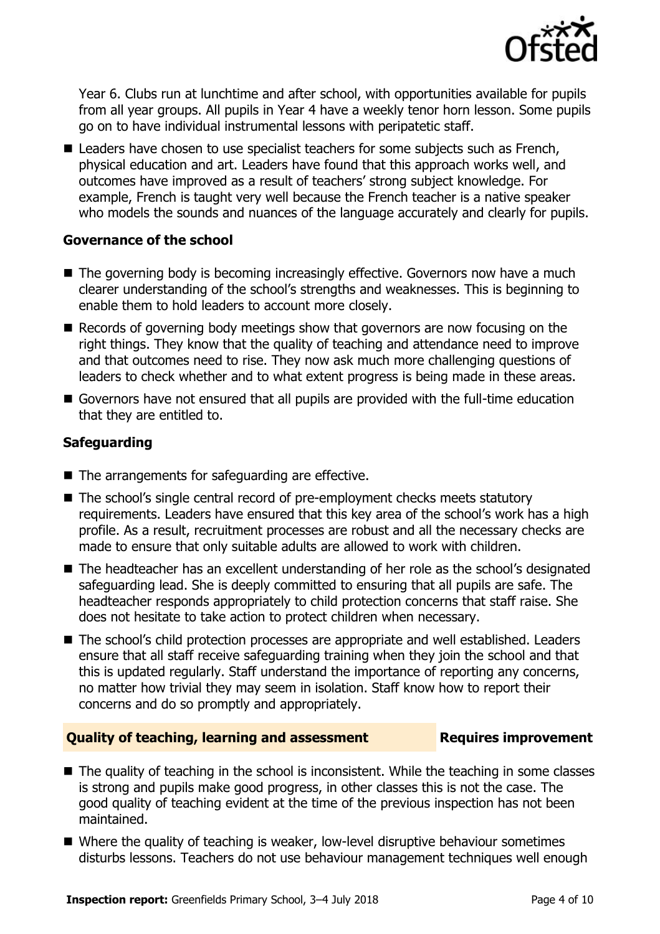

Year 6. Clubs run at lunchtime and after school, with opportunities available for pupils from all year groups. All pupils in Year 4 have a weekly tenor horn lesson. Some pupils go on to have individual instrumental lessons with peripatetic staff.

■ Leaders have chosen to use specialist teachers for some subjects such as French, physical education and art. Leaders have found that this approach works well, and outcomes have improved as a result of teachers' strong subject knowledge. For example, French is taught very well because the French teacher is a native speaker who models the sounds and nuances of the language accurately and clearly for pupils.

### **Governance of the school**

- $\blacksquare$  The governing body is becoming increasingly effective. Governors now have a much clearer understanding of the school's strengths and weaknesses. This is beginning to enable them to hold leaders to account more closely.
- Records of governing body meetings show that governors are now focusing on the right things. They know that the quality of teaching and attendance need to improve and that outcomes need to rise. They now ask much more challenging questions of leaders to check whether and to what extent progress is being made in these areas.
- Governors have not ensured that all pupils are provided with the full-time education that they are entitled to.

### **Safeguarding**

- The arrangements for safeguarding are effective.
- The school's single central record of pre-employment checks meets statutory requirements. Leaders have ensured that this key area of the school's work has a high profile. As a result, recruitment processes are robust and all the necessary checks are made to ensure that only suitable adults are allowed to work with children.
- The headteacher has an excellent understanding of her role as the school's designated safeguarding lead. She is deeply committed to ensuring that all pupils are safe. The headteacher responds appropriately to child protection concerns that staff raise. She does not hesitate to take action to protect children when necessary.
- The school's child protection processes are appropriate and well established. Leaders ensure that all staff receive safeguarding training when they join the school and that this is updated regularly. Staff understand the importance of reporting any concerns, no matter how trivial they may seem in isolation. Staff know how to report their concerns and do so promptly and appropriately.

### **Quality of teaching, learning and assessment Requires improvement**

- The quality of teaching in the school is inconsistent. While the teaching in some classes is strong and pupils make good progress, in other classes this is not the case. The good quality of teaching evident at the time of the previous inspection has not been maintained.
- Where the quality of teaching is weaker, low-level disruptive behaviour sometimes disturbs lessons. Teachers do not use behaviour management techniques well enough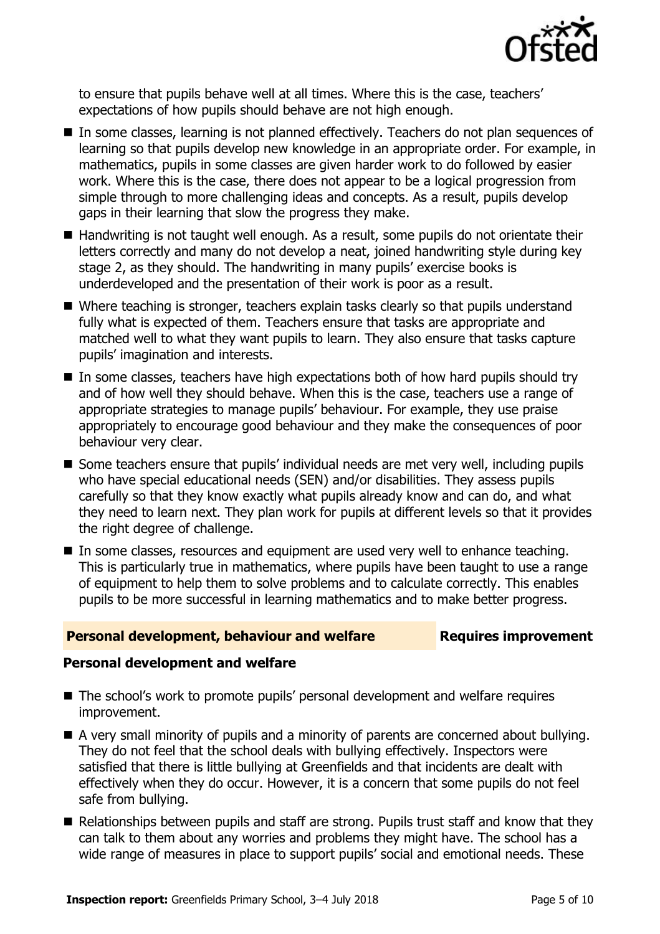

to ensure that pupils behave well at all times. Where this is the case, teachers' expectations of how pupils should behave are not high enough.

- In some classes, learning is not planned effectively. Teachers do not plan sequences of learning so that pupils develop new knowledge in an appropriate order. For example, in mathematics, pupils in some classes are given harder work to do followed by easier work. Where this is the case, there does not appear to be a logical progression from simple through to more challenging ideas and concepts. As a result, pupils develop gaps in their learning that slow the progress they make.
- Handwriting is not taught well enough. As a result, some pupils do not orientate their letters correctly and many do not develop a neat, joined handwriting style during key stage 2, as they should. The handwriting in many pupils' exercise books is underdeveloped and the presentation of their work is poor as a result.
- Where teaching is stronger, teachers explain tasks clearly so that pupils understand fully what is expected of them. Teachers ensure that tasks are appropriate and matched well to what they want pupils to learn. They also ensure that tasks capture pupils' imagination and interests.
- In some classes, teachers have high expectations both of how hard pupils should try and of how well they should behave. When this is the case, teachers use a range of appropriate strategies to manage pupils' behaviour. For example, they use praise appropriately to encourage good behaviour and they make the consequences of poor behaviour very clear.
- Some teachers ensure that pupils' individual needs are met very well, including pupils who have special educational needs (SEN) and/or disabilities. They assess pupils carefully so that they know exactly what pupils already know and can do, and what they need to learn next. They plan work for pupils at different levels so that it provides the right degree of challenge.
- In some classes, resources and equipment are used very well to enhance teaching. This is particularly true in mathematics, where pupils have been taught to use a range of equipment to help them to solve problems and to calculate correctly. This enables pupils to be more successful in learning mathematics and to make better progress.

#### **Personal development, behaviour and welfare Fig. 2.1 Requires improvement**

#### **Personal development and welfare**

- The school's work to promote pupils' personal development and welfare requires improvement.
- A very small minority of pupils and a minority of parents are concerned about bullying. They do not feel that the school deals with bullying effectively. Inspectors were satisfied that there is little bullying at Greenfields and that incidents are dealt with effectively when they do occur. However, it is a concern that some pupils do not feel safe from bullying.
- Relationships between pupils and staff are strong. Pupils trust staff and know that they can talk to them about any worries and problems they might have. The school has a wide range of measures in place to support pupils' social and emotional needs. These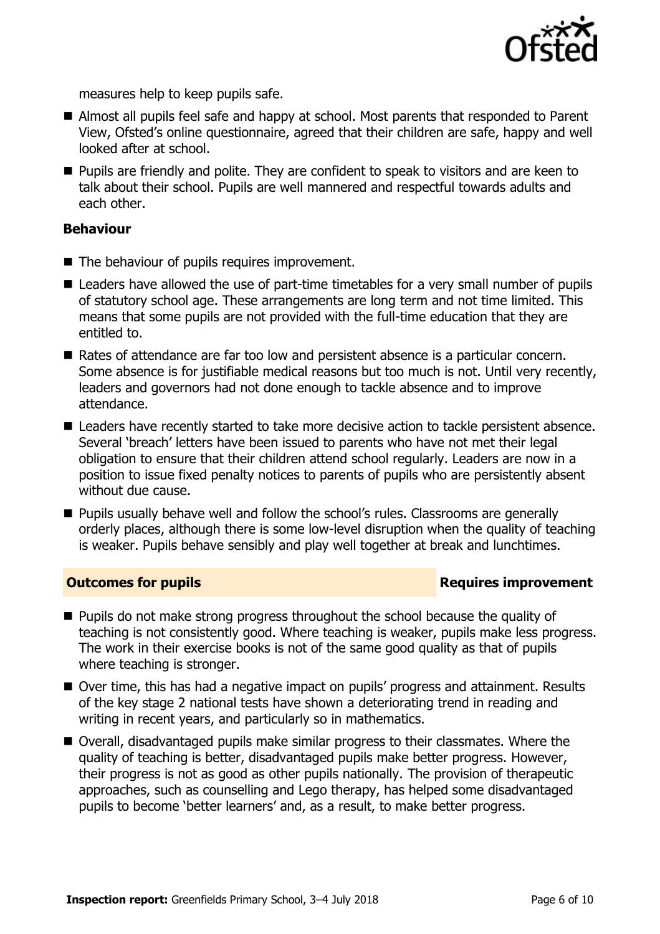

measures help to keep pupils safe.

- Almost all pupils feel safe and happy at school. Most parents that responded to Parent View, Ofsted's online questionnaire, agreed that their children are safe, happy and well looked after at school.
- **Pupils are friendly and polite. They are confident to speak to visitors and are keen to** talk about their school. Pupils are well mannered and respectful towards adults and each other.

#### **Behaviour**

- The behaviour of pupils requires improvement.
- Leaders have allowed the use of part-time timetables for a very small number of pupils of statutory school age. These arrangements are long term and not time limited. This means that some pupils are not provided with the full-time education that they are entitled to.
- Rates of attendance are far too low and persistent absence is a particular concern. Some absence is for justifiable medical reasons but too much is not. Until very recently, leaders and governors had not done enough to tackle absence and to improve attendance.
- Leaders have recently started to take more decisive action to tackle persistent absence. Several 'breach' letters have been issued to parents who have not met their legal obligation to ensure that their children attend school regularly. Leaders are now in a position to issue fixed penalty notices to parents of pupils who are persistently absent without due cause.
- Pupils usually behave well and follow the school's rules. Classrooms are generally orderly places, although there is some low-level disruption when the quality of teaching is weaker. Pupils behave sensibly and play well together at break and lunchtimes.

#### **Outcomes for pupils Requires improvement**

- **Pupils do not make strong progress throughout the school because the quality of** teaching is not consistently good. Where teaching is weaker, pupils make less progress. The work in their exercise books is not of the same good quality as that of pupils where teaching is stronger.
- Over time, this has had a negative impact on pupils' progress and attainment. Results of the key stage 2 national tests have shown a deteriorating trend in reading and writing in recent years, and particularly so in mathematics.
- Overall, disadvantaged pupils make similar progress to their classmates. Where the quality of teaching is better, disadvantaged pupils make better progress. However, their progress is not as good as other pupils nationally. The provision of therapeutic approaches, such as counselling and Lego therapy, has helped some disadvantaged pupils to become 'better learners' and, as a result, to make better progress.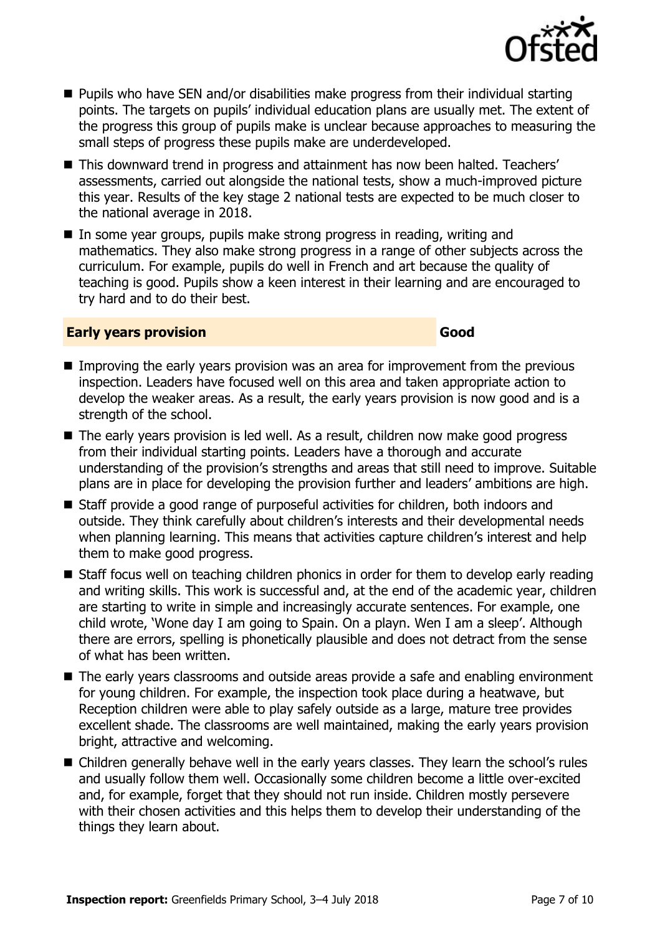

- Pupils who have SEN and/or disabilities make progress from their individual starting points. The targets on pupils' individual education plans are usually met. The extent of the progress this group of pupils make is unclear because approaches to measuring the small steps of progress these pupils make are underdeveloped.
- This downward trend in progress and attainment has now been halted. Teachers' assessments, carried out alongside the national tests, show a much-improved picture this year. Results of the key stage 2 national tests are expected to be much closer to the national average in 2018.
- In some year groups, pupils make strong progress in reading, writing and mathematics. They also make strong progress in a range of other subjects across the curriculum. For example, pupils do well in French and art because the quality of teaching is good. Pupils show a keen interest in their learning and are encouraged to try hard and to do their best.

#### **Early years provision Good Good**

- Improving the early years provision was an area for improvement from the previous inspection. Leaders have focused well on this area and taken appropriate action to develop the weaker areas. As a result, the early years provision is now good and is a strength of the school.
- The early years provision is led well. As a result, children now make good progress from their individual starting points. Leaders have a thorough and accurate understanding of the provision's strengths and areas that still need to improve. Suitable plans are in place for developing the provision further and leaders' ambitions are high.
- Staff provide a good range of purposeful activities for children, both indoors and outside. They think carefully about children's interests and their developmental needs when planning learning. This means that activities capture children's interest and help them to make good progress.
- Staff focus well on teaching children phonics in order for them to develop early reading and writing skills. This work is successful and, at the end of the academic year, children are starting to write in simple and increasingly accurate sentences. For example, one child wrote, 'Wone day I am going to Spain. On a playn. Wen I am a sleep'. Although there are errors, spelling is phonetically plausible and does not detract from the sense of what has been written.
- The early vears classrooms and outside areas provide a safe and enabling environment for young children. For example, the inspection took place during a heatwave, but Reception children were able to play safely outside as a large, mature tree provides excellent shade. The classrooms are well maintained, making the early years provision bright, attractive and welcoming.
- Children generally behave well in the early years classes. They learn the school's rules and usually follow them well. Occasionally some children become a little over-excited and, for example, forget that they should not run inside. Children mostly persevere with their chosen activities and this helps them to develop their understanding of the things they learn about.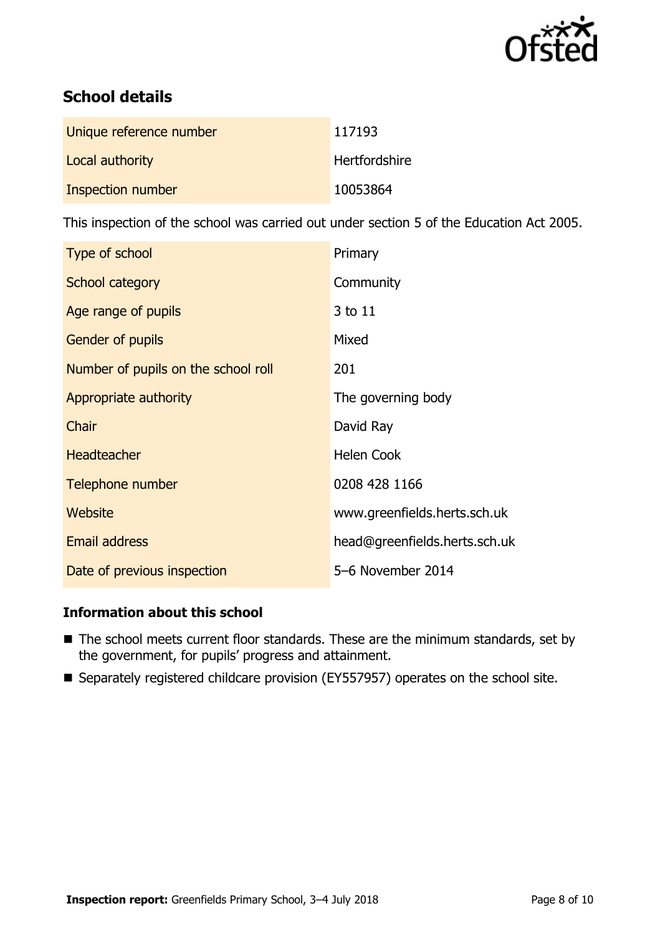

# **School details**

| Unique reference number | 117193        |
|-------------------------|---------------|
| Local authority         | Hertfordshire |
| Inspection number       | 10053864      |

This inspection of the school was carried out under section 5 of the Education Act 2005.

| Type of school                      | Primary                       |
|-------------------------------------|-------------------------------|
| School category                     | Community                     |
| Age range of pupils                 | 3 to 11                       |
| <b>Gender of pupils</b>             | Mixed                         |
| Number of pupils on the school roll | 201                           |
| Appropriate authority               | The governing body            |
| Chair                               | David Ray                     |
| <b>Headteacher</b>                  | <b>Helen Cook</b>             |
| Telephone number                    | 0208 428 1166                 |
| Website                             | www.greenfields.herts.sch.uk  |
| <b>Email address</b>                | head@greenfields.herts.sch.uk |
| Date of previous inspection         | 5-6 November 2014             |

### **Information about this school**

- The school meets current floor standards. These are the minimum standards, set by the government, for pupils' progress and attainment.
- Separately registered childcare provision (EY557957) operates on the school site.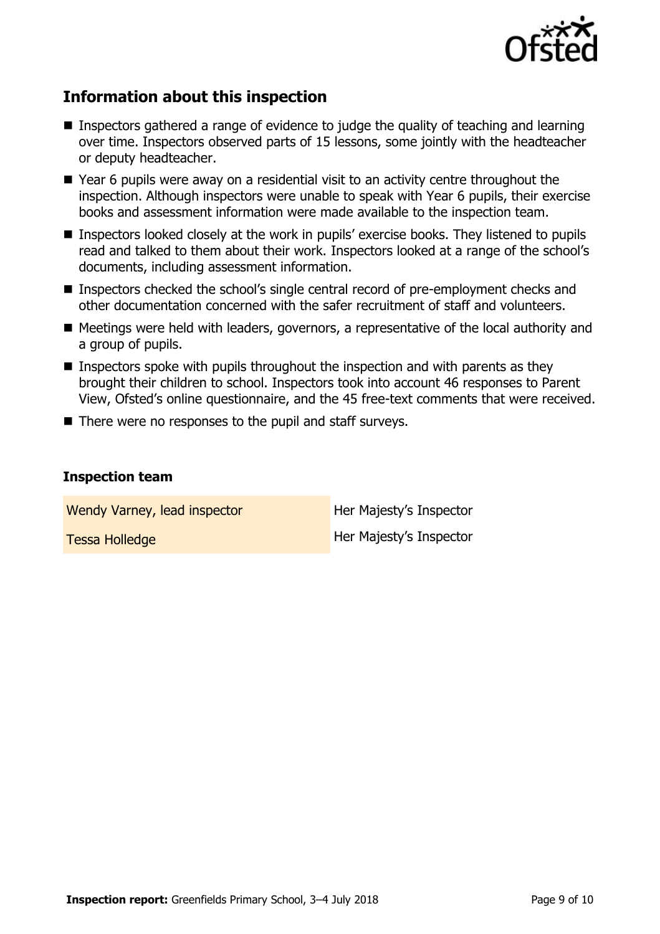

# **Information about this inspection**

- Inspectors gathered a range of evidence to judge the quality of teaching and learning over time. Inspectors observed parts of 15 lessons, some jointly with the headteacher or deputy headteacher.
- Year 6 pupils were away on a residential visit to an activity centre throughout the inspection. Although inspectors were unable to speak with Year 6 pupils, their exercise books and assessment information were made available to the inspection team.
- Inspectors looked closely at the work in pupils' exercise books. They listened to pupils read and talked to them about their work. Inspectors looked at a range of the school's documents, including assessment information.
- Inspectors checked the school's single central record of pre-employment checks and other documentation concerned with the safer recruitment of staff and volunteers.
- Meetings were held with leaders, governors, a representative of the local authority and a group of pupils.
- **Inspectors spoke with pupils throughout the inspection and with parents as they** brought their children to school. Inspectors took into account 46 responses to Parent View, Ofsted's online questionnaire, and the 45 free-text comments that were received.
- $\blacksquare$  There were no responses to the pupil and staff surveys.

#### **Inspection team**

Wendy Varney, lead inspector **Her Majesty's Inspector** 

Tessa Holledge **Her Majesty's Inspector**